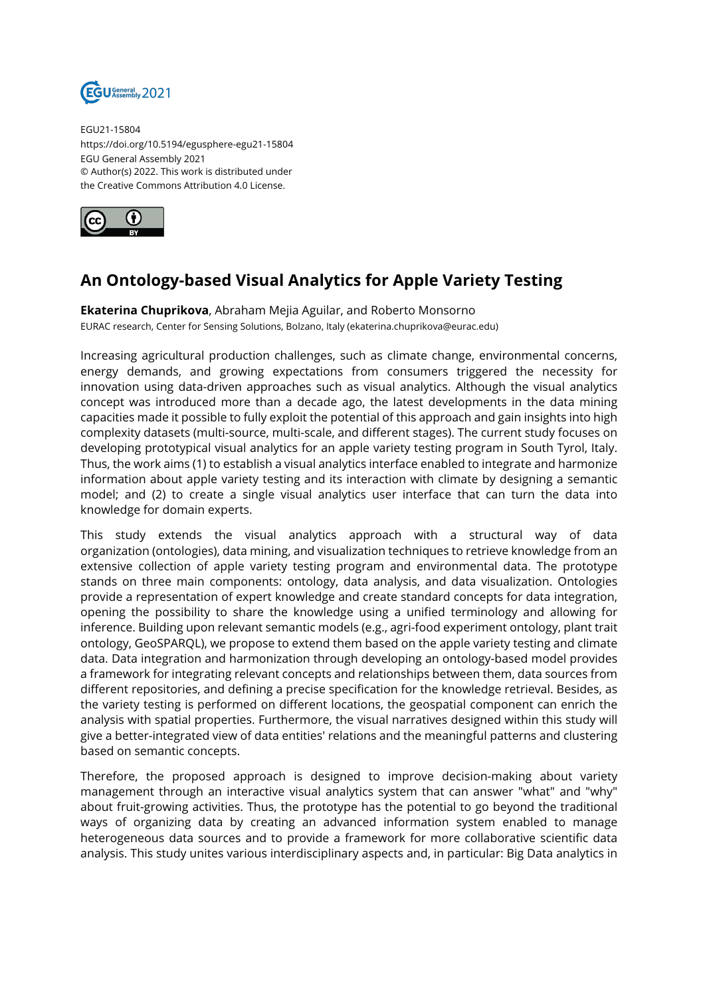

EGU21-15804 https://doi.org/10.5194/egusphere-egu21-15804 EGU General Assembly 2021 © Author(s) 2022. This work is distributed under the Creative Commons Attribution 4.0 License.



## **An Ontology-based Visual Analytics for Apple Variety Testing**

**Ekaterina Chuprikova**, Abraham Mejia Aguilar, and Roberto Monsorno EURAC research, Center for Sensing Solutions, Bolzano, Italy (ekaterina.chuprikova@eurac.edu)

Increasing agricultural production challenges, such as climate change, environmental concerns, energy demands, and growing expectations from consumers triggered the necessity for innovation using data-driven approaches such as visual analytics. Although the visual analytics concept was introduced more than a decade ago, the latest developments in the data mining capacities made it possible to fully exploit the potential of this approach and gain insights into high complexity datasets (multi-source, multi-scale, and different stages). The current study focuses on developing prototypical visual analytics for an apple variety testing program in South Tyrol, Italy. Thus, the work aims (1) to establish a visual analytics interface enabled to integrate and harmonize information about apple variety testing and its interaction with climate by designing a semantic model; and (2) to create a single visual analytics user interface that can turn the data into knowledge for domain experts.

This study extends the visual analytics approach with a structural way of data organization (ontologies), data mining, and visualization techniques to retrieve knowledge from an extensive collection of apple variety testing program and environmental data. The prototype stands on three main components: ontology, data analysis, and data visualization. Ontologies provide a representation of expert knowledge and create standard concepts for data integration, opening the possibility to share the knowledge using a unified terminology and allowing for inference. Building upon relevant semantic models (e.g., agri-food experiment ontology, plant trait ontology, GeoSPARQL), we propose to extend them based on the apple variety testing and climate data. Data integration and harmonization through developing an ontology-based model provides a framework for integrating relevant concepts and relationships between them, data sources from different repositories, and defining a precise specification for the knowledge retrieval. Besides, as the variety testing is performed on different locations, the geospatial component can enrich the analysis with spatial properties. Furthermore, the visual narratives designed within this study will give a better-integrated view of data entities' relations and the meaningful patterns and clustering based on semantic concepts.

Therefore, the proposed approach is designed to improve decision-making about variety management through an interactive visual analytics system that can answer "what" and "why" about fruit-growing activities. Thus, the prototype has the potential to go beyond the traditional ways of organizing data by creating an advanced information system enabled to manage heterogeneous data sources and to provide a framework for more collaborative scientific data analysis. This study unites various interdisciplinary aspects and, in particular: Big Data analytics in